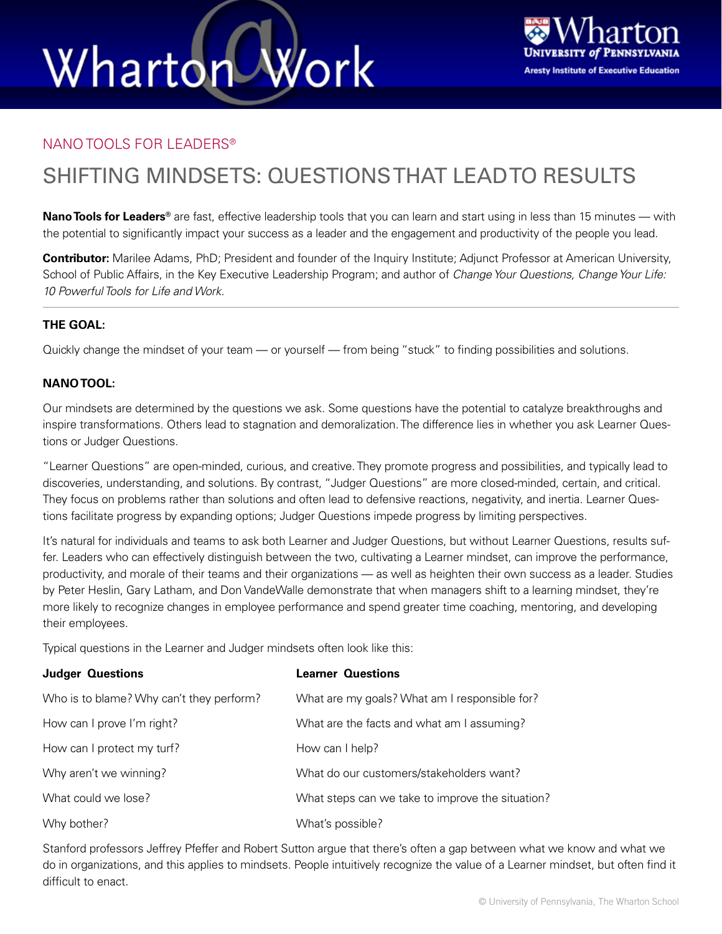## Wharton Work



#### NANO TOOLS FOR LEADERS®

### SHIFTING MINDSETS: QUESTIONS THAT LEAD TO RESULTS

**Nano Tools for Leaders®** are fast, effective leadership tools that you can learn and start using in less than 15 minutes — with the potential to significantly impact your success as a leader and the engagement and productivity of the people you lead.

**Contributor:** Marilee Adams, PhD; President and founder of the Inquiry Institute; Adjunct Professor at American University, School of Public Affairs, in the Key Executive Leadership Program; and author of *Change Your Questions, Change Your Life: 10 Powerful Tools for Life and Work.*

#### **THE GOAL:**

Quickly change the mindset of your team — or yourself — from being "stuck" to finding possibilities and solutions.

#### **NANO TOOL:**

Our mindsets are determined by the questions we ask. Some questions have the potential to catalyze breakthroughs and inspire transformations. Others lead to stagnation and demoralization. The difference lies in whether you ask Learner Questions or Judger Questions.

"Learner Questions" are open-minded, curious, and creative. They promote progress and possibilities, and typically lead to discoveries, understanding, and solutions. By contrast, "Judger Questions" are more closed-minded, certain, and critical. They focus on problems rather than solutions and often lead to defensive reactions, negativity, and inertia. Learner Questions facilitate progress by expanding options; Judger Questions impede progress by limiting perspectives.

It's natural for individuals and teams to ask both Learner and Judger Questions, but without Learner Questions, results suffer. Leaders who can effectively distinguish between the two, cultivating a Learner mindset, can improve the performance, productivity, and morale of their teams and their organizations — as well as heighten their own success as a leader. Studies by Peter Heslin, Gary Latham, and Don VandeWalle demonstrate that when managers shift to a learning mindset, they're more likely to recognize changes in employee performance and spend greater time coaching, mentoring, and developing their employees.

Typical questions in the Learner and Judger mindsets often look like this:

| <b>Judger Questions</b>                  | <b>Learner Questions</b>                         |
|------------------------------------------|--------------------------------------------------|
| Who is to blame? Why can't they perform? | What are my goals? What am I responsible for?    |
| How can I prove I'm right?               | What are the facts and what am I assuming?       |
| How can I protect my turf?               | How can I help?                                  |
| Why aren't we winning?                   | What do our customers/stakeholders want?         |
| What could we lose?                      | What steps can we take to improve the situation? |
| Why bother?                              | What's possible?                                 |

Stanford professors Jeffrey Pfeffer and Robert Sutton argue that there's often a gap between what we know and what we do in organizations, and this applies to mindsets. People intuitively recognize the value of a Learner mindset, but often find it difficult to enact.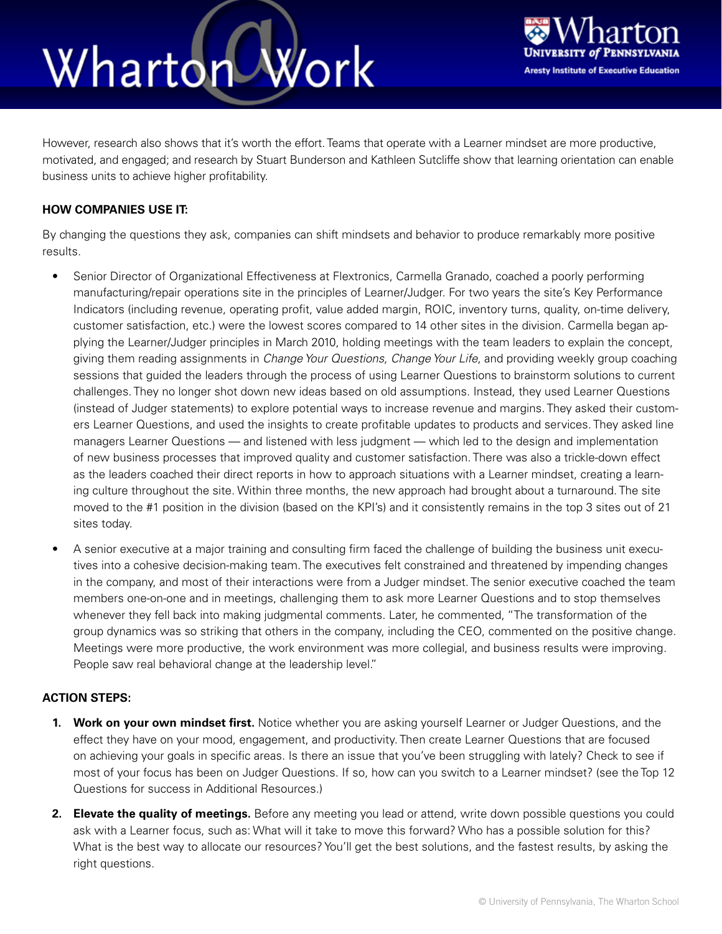## Wharton Work



However, research also shows that it's worth the effort. Teams that operate with a Learner mindset are more productive, motivated, and engaged; and research by Stuart Bunderson and Kathleen Sutcliffe show that learning orientation can enable business units to achieve higher profitability.

#### **HOW COMPANIES USE IT:**

By changing the questions they ask, companies can shift mindsets and behavior to produce remarkably more positive results.

- Senior Director of Organizational Effectiveness at Flextronics, Carmella Granado, coached a poorly performing manufacturing/repair operations site in the principles of Learner/Judger. For two years the site's Key Performance Indicators (including revenue, operating profit, value added margin, ROIC, inventory turns, quality, on-time delivery, customer satisfaction, etc.) were the lowest scores compared to 14 other sites in the division. Carmella began applying the Learner/Judger principles in March 2010, holding meetings with the team leaders to explain the concept, giving them reading assignments in *Change Your Questions, Change Your Life*, and providing weekly group coaching sessions that guided the leaders through the process of using Learner Questions to brainstorm solutions to current challenges. They no longer shot down new ideas based on old assumptions. Instead, they used Learner Questions (instead of Judger statements) to explore potential ways to increase revenue and margins. They asked their customers Learner Questions, and used the insights to create profitable updates to products and services. They asked line managers Learner Questions — and listened with less judgment — which led to the design and implementation of new business processes that improved quality and customer satisfaction. There was also a trickle-down effect as the leaders coached their direct reports in how to approach situations with a Learner mindset, creating a learning culture throughout the site. Within three months, the new approach had brought about a turnaround. The site moved to the #1 position in the division (based on the KPI's) and it consistently remains in the top 3 sites out of 21 sites today.
- A senior executive at a major training and consulting firm faced the challenge of building the business unit executives into a cohesive decision-making team. The executives felt constrained and threatened by impending changes in the company, and most of their interactions were from a Judger mindset. The senior executive coached the team members one-on-one and in meetings, challenging them to ask more Learner Questions and to stop themselves whenever they fell back into making judgmental comments. Later, he commented, "The transformation of the group dynamics was so striking that others in the company, including the CEO, commented on the positive change. Meetings were more productive, the work environment was more collegial, and business results were improving. People saw real behavioral change at the leadership level."

#### **ACTION STEPS:**

- **1. Work on your own mindset first.** Notice whether you are asking yourself Learner or Judger Questions, and the effect they have on your mood, engagement, and productivity. Then create Learner Questions that are focused on achieving your goals in specific areas. Is there an issue that you've been struggling with lately? Check to see if most of your focus has been on Judger Questions. If so, how can you switch to a Learner mindset? (see the Top 12 Questions for success in Additional Resources.)
- **2. Elevate the quality of meetings.** Before any meeting you lead or attend, write down possible questions you could ask with a Learner focus, such as: What will it take to move this forward? Who has a possible solution for this? What is the best way to allocate our resources? You'll get the best solutions, and the fastest results, by asking the right questions.